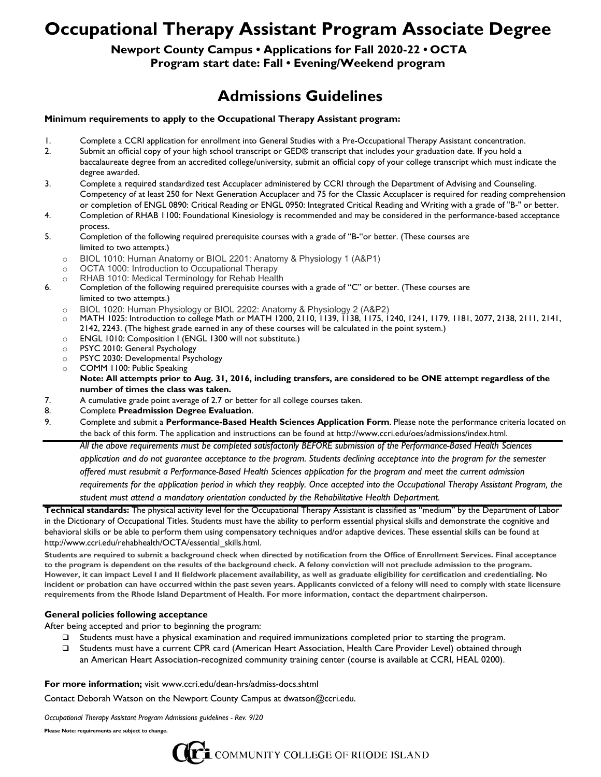# **Occupational Therapy Assistant Program Associate Degree**

### **Newport County Campus • Applications for Fall 2020-22 • OCTA Program start date: Fall • Evening/Weekend program**

## **Admissions Guidelines**

### **Minimum requirements to apply to the Occupational Therapy Assistant program:**

- 1. Complete a CCRI application for enrollment into General Studies with a Pre-Occupational Therapy Assistant concentration.
- 2. Submit an official copy of your high school transcript or GED® transcript that includes your graduation date. If you hold a baccalaureate degree from an accredited college/university, submit an official copy of your college transcript which must indicate the degree awarded.
- 3. Complete a required standardized test Accuplacer administered by CCRI through the Department of Advising and Counseling. Competency of at least 250 for Next Generation Accuplacer and 75 for the Classic Accuplacer is required for reading comprehension or completion of ENGL 0890: Critical Reading or ENGL 0950: Integrated Critical Reading and Writing with a grade of "B-" or better.
- 4. Completion of RHAB 1100: Foundational Kinesiology is recommended and may be considered in the performance-based acceptance process.
- 5. Completion of the following required prerequisite courses with a grade of "B-"or better. (These courses are limited to two attempts.)
	- o BIOL 1010: Human Anatomy or BIOL 2201: Anatomy & Physiology 1 (A&P1)
	- OCTA 1000: Introduction to Occupational Therapy
	- o RHAB 1010: Medical Terminology for Rehab Health
- 6. Completion of the following required prerequisite courses with a grade of "C" or better. (These courses are limited to two attempts.)
	-
	- o BIOL 1020: Human Physiology or BIOL 2202: Anatomy & Physiology 2 (A&P2)<br>○ MATH 1025: Introduction to college Math or MATH 1200. 2110. 1139. 1138. 1175. 11 MATH 1025: Introduction to college Math or MATH 1200, 2110, 1139, 1138, 1175, 1240, 1241, 1179, 1181, 2077, 2138, 2111, 2141, 2142, 2243. (The highest grade earned in any of these courses will be calculated in the point system.)
	- o ENGL 1010: Composition I (ENGL 1300 will not substitute.)
	- o PSYC 2010: General Psychology
	- PSYC 2030: Developmental Psychology<br>○ COMM 1100: Public Speaking
	- COMM 1100: Public Speaking

#### **Note: All attempts prior to Aug. 31, 2016, including transfers, are considered to be ONE attempt regardless of the number of times the class was taken.**

- 7. A cumulative grade point average of 2.7 or better for all college courses taken.
- 8. Complete **Preadmission Degree Evaluation**.
- 9. Complete and submit a **Performance-Based Health Sciences Application Form**. Please note the performance criteria located on the back of this form. The application and instructions can be found at http://www.ccri.edu/oes/admissions/index.html.

*All the above requirements must be completed satisfactorily BEFORE submission of the Performance-Based Health Sciences*

*application and do not guarantee acceptance to the program. Students declining acceptance into the program for the semester offered must resubmit a Performance-Based Health Sciences application for the program and meet the current admission requirements for the application period in which they reapply. Once accepted into the Occupational Therapy Assistant Program, the*

*student must attend a mandatory orientation conducted by the Rehabilitative Health Department.*

**Technical standards:** The physical activity level for the Occupational Therapy Assistant is classified as "medium" by the Department of Labor in the Dictionary of Occupational Titles. Students must have the ability to perform essential physical skills and demonstrate the cognitive and behavioral skills or be able to perform them using compensatory techniques and/or adaptive devices. These essential skills can be found at http://www.ccri.edu/rehabhealth/OCTA/essential\_skills.html.

**Students are required to submit a background check when directed by notification from the Office of Enrollment Services. Final acceptance to the program is dependent on the results of the background check. A felony conviction will not preclude admission to the program. However, it can impact Level I and II fieldwork placement availability, as well as graduate eligibility for certification and credentialing. No incident or probation can have occurred within the past seven years. Applicants convicted of a felony will need to comply with state licensure requirements from the Rhode Island Department of Health. For more information, contact the department chairperson.**

### **General policies following acceptance**

After being accepted and prior to beginning the program:

- Students must have a physical examination and required immunizations completed prior to starting the program.
- Students must have a current CPR card (American Heart Association, Health Care Provider Level) obtained through an American Heart Association-recognized community training center (course is available at CCRI, HEAL 0200).

### **For more information;** visit www.ccri.edu/dean-hrs/admiss-docs.shtml

Contact Deborah Watson on the Newport County Campus at dwatson@ccri.edu.

*Occupational Therapy Assistant Program Admissions guidelines - Rev. 9/20*

**Please Note: requirements are subject to change.**